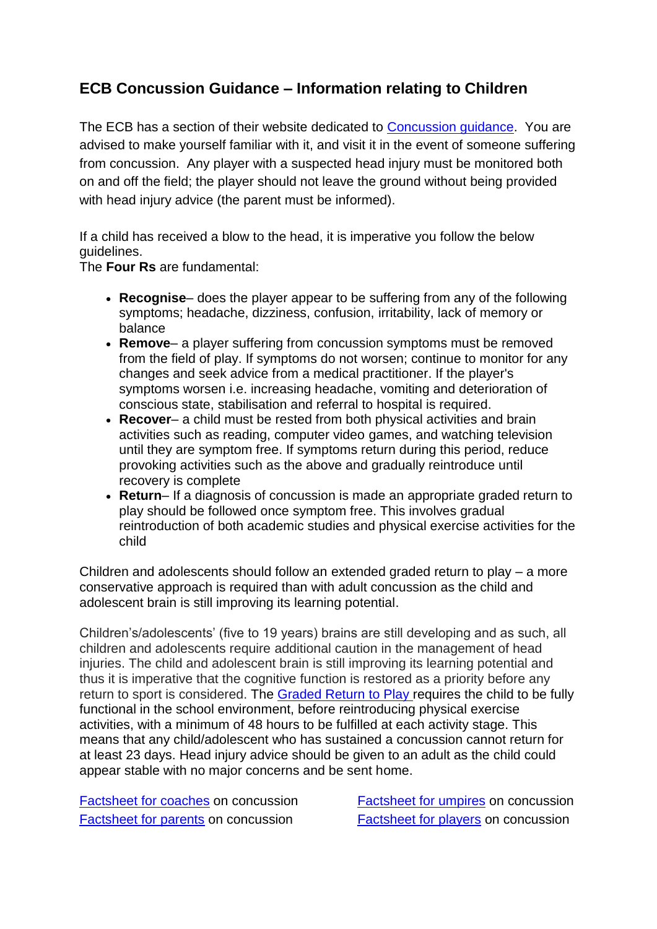## **ECB Concussion Guidance – Information relating to Children**

The ECB has a section of their website dedicated to [Concussion guidance.](https://www.ecb.co.uk/concussion-in-cricket) You are advised to make yourself familiar with it, and visit it in the event of someone suffering from concussion. Any player with a suspected head injury must be monitored both on and off the field; the player should not leave the ground without being provided with head injury advice (the parent must be informed).

If a child has received a blow to the head, it is imperative you follow the below guidelines.

The **Four Rs** are fundamental:

- **Recognise** does the player appear to be suffering from any of the following symptoms; headache, dizziness, confusion, irritability, lack of memory or balance
- **Remove** a player suffering from concussion symptoms must be removed from the field of play. If symptoms do not worsen; continue to monitor for any changes and seek advice from a medical practitioner. If the player's symptoms worsen i.e. increasing headache, vomiting and deterioration of conscious state, stabilisation and referral to hospital is required.
- **Recover** a child must be rested from both physical activities and brain activities such as reading, computer video games, and watching television until they are symptom free. If symptoms return during this period, reduce provoking activities such as the above and gradually reintroduce until recovery is complete
- **Return** If a diagnosis of concussion is made an appropriate graded return to play should be followed once symptom free. This involves gradual reintroduction of both academic studies and physical exercise activities for the child

Children and adolescents should follow an extended graded return to play – a more conservative approach is required than with adult concussion as the child and adolescent brain is still improving its learning potential.

Children's/adolescents' (five to 19 years) brains are still developing and as such, all children and adolescents require additional caution in the management of head injuries. The child and adolescent brain is still improving its learning potential and thus it is imperative that the cognitive function is restored as a priority before any return to sport is considered. The [Graded Return to Play](https://stage-ecb.pulselive.com/concussion-in-cricket/return-to-play) requires the child to be fully functional in the school environment, before reintroducing physical exercise activities, with a minimum of 48 hours to be fulfilled at each activity stage. This means that any child/adolescent who has sustained a concussion cannot return for at least 23 days. Head injury advice should be given to an adult as the child could appear stable with no major concerns and be sent home.

[Factsheet for coaches](https://pulse-static-files.s3.amazonaws.com/ecb/document/2016/12/01/a76b611f-a05e-450e-96b6-6184409733f1/1617-ECB-Concussion_Factsheet_V4_Coaches.pdf) on concussion [Factsheet for umpires](https://pulse-static-files.s3.amazonaws.com/ecb/document/2016/12/01/4a0ed691-667e-4f76-bed6-35d75200425c/1617-ECB-Concussion_Factsheet_V4_Umpires.pdf) on concussion [Factsheet for parents](https://pulse-static-files.s3.amazonaws.com/ecb/document/2016/12/01/edc3a458-d5ec-4d71-9538-dcc9f97396fd/1617-ECB-Concussion_Factsheet_V4_Parents.pdf) on concussion [Factsheet for players](https://pulse-static-files.s3.amazonaws.com/ecb/document/2016/12/01/607797d1-b61e-42d6-81a3-cb660441f268/1617-ECB-Concussion_Factsheet_V4_Players.pdf) on concussion